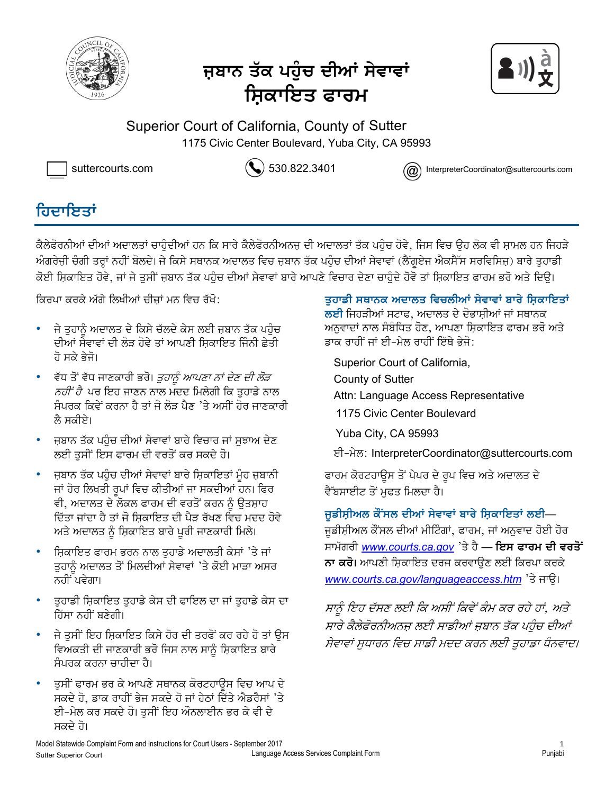

# <u>ਜ</u>ਬਾਨ ਤੱਕ ਪਹੰਚ ਦੀਆਂ ਸੇਵਾਵਾਂ ਸ਼ਿਕਾਇਤ ਫਾਰ**ਮ**



Superior Court of California, County of Sutter 1175 Civic Center Boulevard, Yuba City, CA 95993



suttercourts.com  $\left(\bigvee\right)$  530.822.3401 InterpreterCoordinator@suttercourts.com

## <u>ਗਿਦਾਇਤਾਂ</u>

ਕੈਲੇਫੋਰਨੀਆਂ ਦੀਆਂ ਅਦਾਲਤਾਂ ਚਾਹੰਦੀਆਂ ਹਨ ਕਿ ਸਾਰੇ ਕੈਲੇਫੋਰਨੀਅਨਜ ਦੀ ਅਦਾਲਤਾਂ ਤੱਕ ਪਹੰਚ ਹੋਵੇ, ਜਿਸ ਵਿਚ ੳਹ ਲੋਕ ਵੀ ਸ਼ਾਮਲ ਹਨ ਜਿਹੜੇ ਅੰਗਰੇਜ਼ੀ ਚੰਗੀ ਤਰਾਂ ਨਹੀਂ ਬੋਲਦੇ। ਜੇ ਕਿਸੇ ਸਥਾਨਕ ਅਦਾਲਤ ਵਿਚ ਜ਼ਬਾਨ ਤੱਕ ਪਹੰਚ ਦੀਆਂ ਸੇਵਾਵਾਂ (ਲੈਂਗਏਜ ਐਕਸੈੱਸ ਸਰਵਿਸਿਜ਼) ਬਾਰੇ ਤਹਾਡੀ ਕੋਈ ਸ਼ਿਕਾਇਤ ਹੋਵੇ, ਜਾਂ ਜੇ ਤਸੀਂ ਜ਼ਬਾਨ ਤੱਕ ਪਹੰਚ ਦੀਆਂ ਸੇਵਾਵਾਂ ਬਾਰੇ ਆਪਣੇ ਵਿਚਾਰ ਦੇਣਾ ਚਾਹੰਦੇ ਹੋਵੋ ਤਾਂ ਸ਼ਿਕਾਇਤ ਫਾਰਮ ਭਰੋ ਅਤੇ ਦਿੳ।

ਕਿਰਪਾ ਕਰਕੇ ਅੱਗੇ ਲਿਖੀਆਂ ਚੀਜਾਂ ਮਨ ਵਿਚ ਰੱਖੋ:

- ਜੇ ਤੁਹਾਨੂੰ ਅਦਾਲਤ ਦੇ ਕਿਸੇ ਚੱਲਦੇ ਕੇਸ ਲਈ ਜ਼ਬਾਨ ਤੱਕ ਪਹੁੰਚ ਦੀਆਂ ਸੇਵਾਵਾਂ ਦੀ ਲੋੜ ਹੋਵੇ ਤਾਂ ਆਪਣੀ ਸਿਕਾਇਤ ਜਿੰਨੀ ਛੇਤੀ ਹੋ ਸਕੇ ਭੇਜੋ।
- ਵੱਧ ਤੋਂ ਵੱਧ ਜਾਣਕਾਰੀ ਭਰੋ। *ਤੁਹਾਨੂੰ ਆਪਣਾ ਨਾਂ ਦੇਣ ਦੀ ਲੋੜ*  $\overline{\delta}$ ਾਂ ਹੈ ਪਰ ਇਹ ਜਾਣਨ ਨਾਲ ਮਦਦ ਮਿਲੇਗੀ ਕਿ ਤੁਹਾਡੇ ਨਾਲ ਸੰਪਰਕ ਕਿਵੇਂ ਕਰਨਾ ਹੈ ਤਾਂ ਜੋ ਲੋਤ ਪੈਣ 'ਤੇ ਅਸੀਂ ਹੋਰ ਜਾਣਕਾਰੀ ਲੈ ਸਕੀਏ।
- ਜੁਬਾਨ ਤੱਕ ਪਹੰਚ ਦੀਆਂ ਸੇਵਾਵਾਂ ਬਾਰੇ ਵਿਚਾਰ ਜਾਂ ਸਝਾਅ ਦੇਣ ਲਈ ਤਸੀਂ ਇਸ ਫਾਰਮ ਦੀ ਵਰਤੋਂ ਕਰ ਸਕਦੇ ਹੋ।
- ਜ਼ਬਾਨ ਤੱਕ ਪਹੁੰਚ ਦੀਆਂ ਸੇਵਾਵਾਂ ਬਾਰੇ ਸ਼ਿਕਾਇਤਾਂ ਮੂੰਹ ਜ਼ਬਾਨੀ ਜਾਂ ਹੋਰ ਲਿਖਤੀ ਰੂਪਾਂ ਵਿਚ ਕੀਤੀਆਂ ਜਾ ਸਕਦੀਆਂ ਹਨ। ਫਿਰ ਵੀ, ਅਦਾਲਤ ਦੇ ਲੋਕਲ ਫਾਰਮ ਦੀ ਵਰਤੋਂ ਕਰਨ ਨੂੰ ਉਤਸ਼ਾਹ ਦਿੱਤਾ ਜਾਂਦਾ ਹੈ ਤਾਂ ਜੋ ਸਿਕਾਇਤ ਦੀ ਪੈੜ ਰੱਖਣ ਵਿਚ ਮਦਦ ਹੋਵੇ ਅਤੇ ਅਦਾਲਤ ਨੂੰ ਸ਼ਿਕਾਇਤ ਬਾਰੇ ਪੂਰੀ ਜਾਣਕਾਰੀ ਮਿਲੇ।
- ਸ਼ਿਕਾਇਤ ਫਾਰਮ ਭਰਨ ਨਾਲ ਤਹਾਡੇ ਅਦਾਲਤੀ ਕੇਸਾਂ 'ਤੇ ਜਾਂ ਤੁਹਾਨੂੰ ਅਦਾਲਤ ਤੋਂ ਮਿਲਦੀਆਂ ਸੇਵਾਵਾਂ 'ਤੇ ਕੋਈ ਮਾੜਾ ਅਸਰ ਨਹੀਂ ਪਵੇਗਾ।
- <sub>-</sub> ਤੁਹਾਡੀ ਸ਼ਿਕਾਇਤ ਤੁਹਾਡੇ ਕੇਸ ਦੀ ਫਾਇਲ ਦਾ ਜਾਂ ਤੁਹਾਡੇ ਕੇਸ ਦਾ ਹਿੱਸਾ ਨਹੀਂ ਬਣੇਗੀ।
- ਜੇ ਤਸੀਂ ਇਹ ਸ਼ਿਕਾਇਤ ਕਿਸੇ ਹੋਰ ਦੀ ਤਰਫੋਂ ਕਰ ਰਹੇ ਹੋ ਤਾਂ ੳਸ ਵਿਅਕਤੀ ਦੀ ਜਾਣਕਾਰੀ ਭਰੋ ਜਿਸ ਨਾਲ ਸਾਨੂੰ ਸ਼ਿਕਾਇਤ ਬਾਰੇ ਸੰਪਰਕ ਕਰਨਾ ਚਾਹੀਦਾ ਹੈ।
- ਤੁਸੀਂ ਫਾਰਮ ਭਰ ਕੇ ਆਪਣੇ ਸਥਾਨਕ ਕੋਰਟਹਾਉਸ ਵਿਚ ਆਪ ਦੇ ਸਕਦੇ ਹੋ, ਡਾਕ ਰਾਹੀਂ ਭੇਜ ਸਕਦੇ ਹੋ ਜਾਂ ਹੇਠਾਂ ਦਿੱਤੇ ਐਡਰੈਸਾਂ 'ਤੇ ਈ-ਮੇਲ ਕਰ ਸਕਦੇ ਹੋ। ਤਸੀਂ ਇਹ ਔਨਲਾਈਨ ਭਰ ਕੇ ਵੀ ਦੇ ਸਕਦੇ ਹੋ।

ਤੁਹਾਡੀ ਸਥਾਨਕ ਅਦਾਲਤ ਵਿਚਲੀਆਂ ਸੇਵਾਵਾਂ ਬਾਰੇ ਸ਼ਿਕਾਇਤਾਂ **ਲਈ** ਜਿਹੜੀਆਂ ਸਟਾਫ, ਅਦਾਲਤ ਦੇ ਦੋਭਾਸ਼ੀਆਂ ਜਾਂ ਸਥਾਨਕ ਅਨਵਾਦਾਂ ਨਾਲ ਸੰਬੰਧਿਤ ਹੋਣ. ਆਪਣਾ ਸਿਕਾਇਤ ਫਾਰਮ ਭਰੋ ਅਤੇ ੜਾਕ ਰਾਹੀਂ ਜਾਂ ਈ-ਮੇਲ ਰਾਹੀਂ ਇੱਥੇ ਭੇਜੋ:

Superior Court of California, County of Sutter county of  $\mathsf{S}\text{-}\mathsf{U}$ 

- Attn: Language Access Representative
- 1175 Civic Center Boulevard
- Yuba City, CA 95993
- ਈ−ਮੇਲ: InterpreterCoordinator@suttercourts.com

ਫਾਰਮ ਕੋਰਟਹਾਉਸ ਤੋਂ ਪੇਪਰ ਦੇ ਰੂਪ ਵਿਚ ਅਤੇ ਅਦਾਲਤ ਦੇ ਵੈੱਬਸਾਈਟ ਤੋਂ ਮਫਤ ਮਿਲਦਾ ਹੈ।

### ਜੁਡੀਸ਼ੀਅਲ ਕੌਂਸਲ ਦੀਆਂ ਸੇਵਾਵਾਂ ਬਾਰੇ ਸ਼ਿਕਾਇਤਾਂ ਲਈ—

ਜੁਡੀਸ਼ੀਅਲ ਕੌਂਸਲ ਦੀਆਂ ਮੀਟਿੰਗਾਂ, ਫਾਰਮ, ਜਾਂ ਅਨੁਵਾਦ ਹੋਈ ਹੋਰ ਸਾਮੱਗਰੀ *www.courts.ca.gov* 'ਤੇ ਹੈ — **ਇਸ ਫਾਰਮ ਦੀ ਵਰਤੋਂ ਨਾ ਕਰੋ।** ਆਪਣੀ ਸ਼ਿਕਾਇਤ ਦਰਜ ਕਰਵਾੳਣ ਲਈ ਕਿਰਪਾ ਕਰਕੇ www.courts.ca.gov/languageaccess.htm<sup>3</sup> अम्हि।

ਸਾਨੂੰ ਇਹ ਦੱਸਣ ਲਈ ਕਿ ਅਸੀਂ ਕਿਵੇਂ ਕੰਮ ਕਰ ਰਹੇ ਹਾਂ, ਅਤੇ ਸਾਰੇ ਕੈਲੇਫੋਰਨੀਅਨਜ਼ ਲਈ ਸਾਡੀਆਂ ਜ਼ਬਾਨ ਤੱਕ ਪਹੰਚ ਦੀਆਂ ਸੇਵਾਵਾਂ ਸੁਧਾਰਨ ਵਿਚ ਸਾਡੀ ਮਦਦ ਕਰਨ ਲਈ ਤੁਹਾਡਾ ਧੰਨਵਾਦ।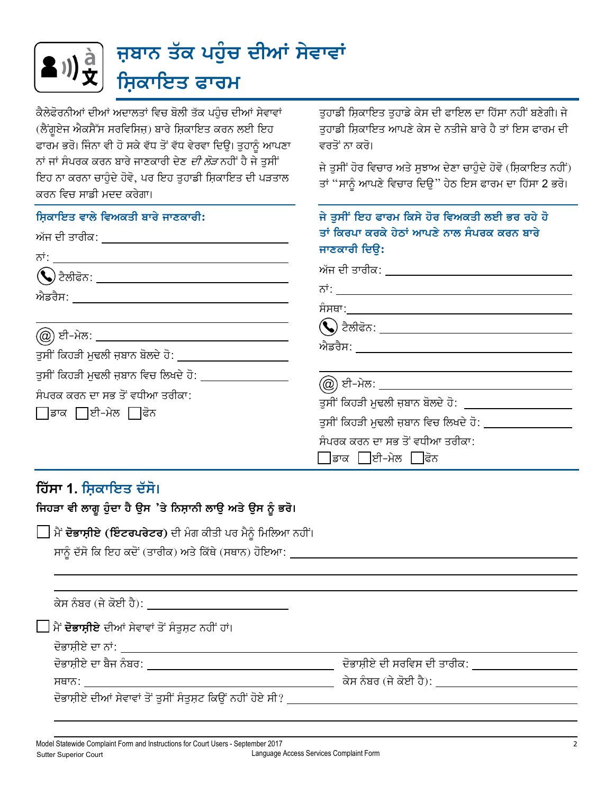

ਕੈਲੇਫੋਰਨੀਆਂ ਦੀਆਂ ਅਦਾਲਤਾਂ ਵਿਚ ਬੋਲੀ ਤੱਕ ਪਹੰਚ ਦੀਆਂ ਸੇਵਾਵਾਂ (ਲੈਂਗੁਏਜ ਐਕਸੈੱਸ ਸਰਵਿਸਿਜ਼) ਬਾਰੇ ਸ਼ਿਕਾਇਤ ਕਰਨ ਲਈ ਇਹ ਫਾਰਮ ਭਰੋ। ਜਿੰਨਾ ਵੀ ਹੋ ਸਕੇ ਵੱਧ ਤੋਂ ਵੱਧ ਵੇਰਵਾ ਦਿਉ। ਤੁਹਾਨੂੰ ਆਪਣਾ ਨਾਂ ਜਾਂ ਸੰਪਰਕ ਕਰਨ ਬਾਰੇ ਜਾਣਕਾਰੀ ਦੇਣ *ਦੀ ਲੋੜ* ਨਹੀਂ ਹੈ ਜੇ ਤਸੀਂ ਇਹ ਨਾ ਕਰਨਾ ਚਾਹੁੰਦੇ ਹੋਵੋ. ਪਰ ਇਹ ਤਹਾਡੀ ਸਿਕਾਇਤ ਦੀ ਪੜਤਾਲ ਕਰਨ ਵਿਚ ਸਾਡੀ ਮਦਦ ਕਰੇਗਾ।

ਤਹਾਡੀ ਸ਼ਿਕਾਇਤ ਤਹਾਡੇ ਕੇਸ ਦੀ ਫਾਇਲ ਦਾ ਹਿੱਸਾ ਨਹੀਂ ਬਣੇਗੀ। ਜੇ ਤਹਾਡੀ ਸਿਕਾਇਤ ਆਪਣੇ ਕੇਸ ਦੇ ਨਤੀਜੇ ਬਾਰੇ ਹੈ ਤਾਂ ਇਸ ਫਾਰਮ ਦੀ ਵਰਤੋਂ ਨਾ ਕਰੋ।

ਜੇ ਤਸੀਂ ਹੋਰ ਵਿਚਾਰ ਅਤੇ ਸਝਾਅ ਦੇਣਾ ਚਾਹੰਦੇ ਹੋਵੋ (ਸ਼ਿਕਾਇਤ ਨਹੀਂ) ਤਾਂ "ਸਾਨੂੰ ਆਪਣੇ ਵਿਚਾਰ ਦਿਉ" ਹੇਠ ਇਸ ਫਾਰਮ ਦਾ ਹਿੱਸਾ 2 ਭਰੋ।

| ਸ਼ਿਕਾਇਤ ਵਾਲੇ ਵਿਅਕਤੀ ਬਾਰੇ ਜਾਣਕਾਰੀ:<br>ਅੱਜ ਦੀ ਤਾਰੀਕ: ____ <b>_________________________</b> ____                    | ਜੇ ਤੁਸੀਂ ਇਹ ਫਾਰਮ ਕਿਸੇ ਹੋਰ ਵਿਅਕਤੀ ਲਈ ਭਰ ਰਹੇ ਹੋ<br>ਤਾਂ ਕਿਰਪਾ ਕਰਕੇ ਹੇਠਾਂ ਆਪਣੇ ਨਾਲ ਸੰਪਰਕ ਕਰਨ ਬਾਰੇ<br>ਜਾਣਕਾਰੀ ਦਿੳ: |
|------------------------------------------------------------------------------------------------------------------|---------------------------------------------------------------------------------------------------------------|
|                                                                                                                  | ਅੱਜ ਦੀ ਤਾਰੀਕ: ___ <b>____________________</b> ___                                                             |
| <u>(@</u> ) ਈ-ਮੇਲ: ___________________________________<br>ਤਸੀਂ ਕਿਹੜੀ ਮੁਢਲੀ ਜ਼ਬਾਨ ਬੋਲਦੇ ਹੋ: _____________________ |                                                                                                               |
| ਤੁਸੀਂ ਕਿਹੜੀ ਮੁਢਲੀ ਜ਼ਬਾਨ ਵਿਚ ਲਿਖਦੇ ਹੋ:<br>ਸੰਪਰਕ ਕਰਨ ਦਾ ਸਭ ਤੋਂ ਵਧੀਆ ਤਰੀਕਾ:<br>∏ਡਾਕ ∏ਈ-ਮੇਲ □ਫੋਨ                     | (@) ਈ-ਮੇਲ: ______________________<br>ਤਸੀਂ ਕਿਹੜੀ ਮੁਢਲੀ ਜ਼ਬਾਨ ਬੋਲਦੇ ਹੋ: ____________                            |
|                                                                                                                  | ਤਸੀਂ ਕਿਹੜੀ ਮਢਲੀ ਜ਼ਬਾਨ ਵਿਚ ਲਿਖਦੇ ਹੋ:<br>ਸੰਪਰਕ ਕਰਨ ਦਾ ਸਭ ਤੋਂ ਵਧੀਆ ਤਰੀਕਾ:<br>∏ਡਾਕ ∏ਈ-ਮੇਲ ∏ਫੋਨ                    |

## ਹਿੱਸਾ 1. ਸਿਕਾਇਤ ਦੱਸੋ।

ਜਿਹੜਾ ਵੀ ਲਾਗੂ ਹੁੰਦਾ ਹੈ ਉਸ 'ਤੇ ਨਿਸ਼ਾਨੀ ਲਾਉ ਅਤੇ ਉਸ ਨੂੰ ਭਰੋ।

□ ਮੈਂ ਦੋਭਾਸ਼ੀਏ (ਇੰਟਰਪਰੇਟਰ) ਦੀ ਮੰਗ ਕੀਤੀ ਪਰ ਮੈਨੂੰ ਮਿਲਿਆ ਨਹੀਂ।

| ਕੇਸ ਨੰਬਰ (ਜੇ ਕੋਈ ਹੈ): |  |  |
|-----------------------|--|--|
|                       |  |  |

] ਮੈਂ **ਦੋਭਾਸ਼ੀਏ** ਦੀਆਂ ਸੇਵਾਵਾਂ ਤੋਂ ਸੰਤਸ਼ਟ ਨਹੀਂ ਹਾਂ।

ਦੋਭਾਸ਼ੀਏ ਦਾ ਨਾਂ: ਹਰ ਸ਼ਾਹ ਦਾ ਸ਼ਾਹ ਦਾ ਸ਼ਾਹ

ਸਥਾਨ: ਤਿਆ

ਦੋਭਾਸ਼ੀਏ ਦੀਆਂ ਸੇਵਾਵਾਂ ਤੋਂ ਤਸੀਂ ਸੰਤਸ਼ਟ ਕਿੳਂ ਨਹੀਂ ਹੋਏ ਸੀ?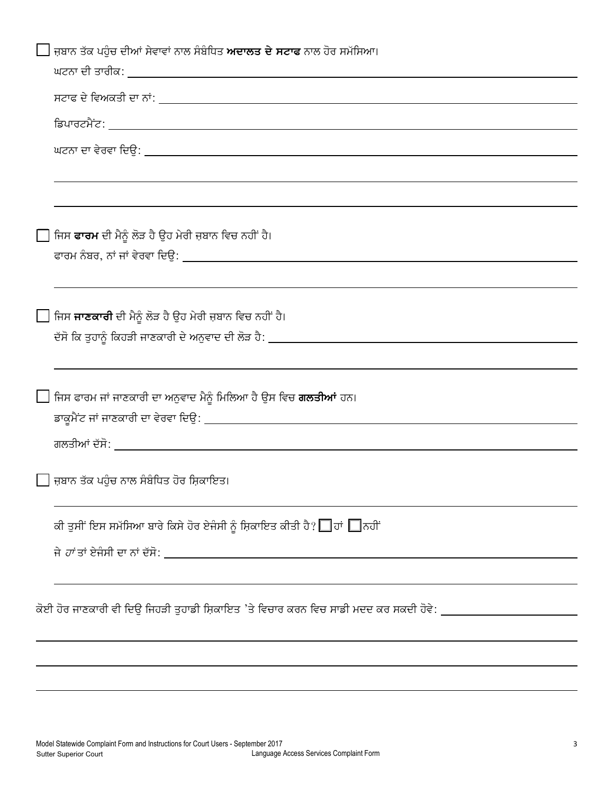| ि ਜ਼ਬਾਨ ਤੱਕ ਪਹੁੰਚ ਦੀਆਂ ਸੇਵਾਵਾਂ ਨਾਲ ਸੰਬੰਧਿਤ ਅਦਾਲਤ ਦੇ ਸਟਾਫ ਨਾਲ ਹੋਰ ਸਮੱਸਿਆ।                                      |
|---------------------------------------------------------------------------------------------------------------|
|                                                                                                               |
|                                                                                                               |
|                                                                                                               |
|                                                                                                               |
|                                                                                                               |
| ਜਿਸ <b>ਫਾਰਮ</b> ਦੀ ਮੈਨੂੰ ਲੋੜ ਹੈ ਉਹ ਮੇਰੀ ਜ਼ਬਾਨ ਵਿਚ ਨਹੀਂ ਹੈ।                                                    |
|                                                                                                               |
| ि ਜਿਸ ਜਾਣਕਾਰੀ ਦੀ ਮੈਨੂੰ ਲੋੜ ਹੈ ਉਹ ਮੇਰੀ ਜ਼ਬਾਨ ਵਿਚ ਨਹੀਂ ਹੈ।                                                      |
|                                                                                                               |
| ∐ ਜਿਸ ਫਾਰਮ ਜਾਂ ਜਾਣਕਾਰੀ ਦਾ ਅਨੁਵਾਦ ਮੈਨੂੰ ਮਿਲਿਆ ਹੈ ਉਸ ਵਿਚ <b>ਗਲਤੀਆਂ</b> ਹਨ।                                      |
|                                                                                                               |
| ि ਜ਼ਬਾਨ ਤੱਕ ਪਹੁੰਚ ਨਾਲ ਸੰਬੰਧਿਤ ਹੋਰ ਸ਼ਿਕਾਇਤ।                                                                    |
| ਕੀ ਤੁਸੀਂ ਇਸ ਸਮੱਸਿਆ ਬਾਰੇ ਕਿਸੇ ਹੋਰ ਏਜੰਸੀ ਨੂੰ ਸ਼ਿਕਾਇਤ ਕੀਤੀ ਹੈ? █ ਹਾਂ █ਨਹੀਂ                                       |
|                                                                                                               |
|                                                                                                               |
| ਕੋਈ ਹੋਰ ਜਾਣਕਾਰੀ ਵੀ ਦਿਉ ਜਿਹੜੀ ਤੁਹਾਡੀ ਸ਼ਿਕਾਇਤ 'ਤੇ ਵਿਚਾਰ ਕਰਨ ਵਿਚ ਸਾਡੀ ਮਦਦ ਕਰ ਸਕਦੀ ਹੋਵੇ: ________________________ |
|                                                                                                               |
|                                                                                                               |
|                                                                                                               |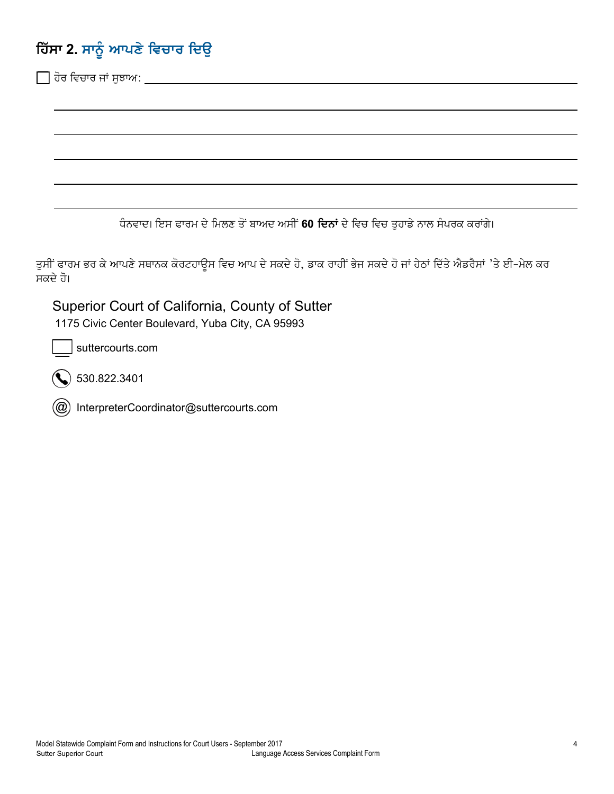## **ਹਿੱਸਾ 2. ਸਾ**ਨੂੰ ਆਪਣੇ ਵਿਚਾਰ ਦਿਉ

☐ hor ivcfr jF suJfa:

ਧੰਨਵਾਦ। ਇਸ ਫਾਰਮ ਦੇ ਮਿਲਣ ਤੋਂ ਬਾਅਦ ਅਸੀਂ 60 **ਦਿਨਾਂ** ਦੇ ਵਿਚ ਵਿਚ ਤੁਹਾਡੇ ਨਾਲ ਸੰਪਰਕ ਕਰਾਂਗੇ।

ਤੁਸੀਂ ਫਾਰਮ ਭਰ ਕੇ ਆਪਣੇ ਸਥਾਨਕ ਕੋਰਟਹਾਉਸ ਵਿਚ ਆਪ ਦੇ ਸਕਦੇ ਹੋ, ਡਾਕ ਰਾਹੀਂ ਭੇਜ ਸਕਦੇ ਹੋ ਜਾਂ ਹੇਠਾਂ ਦਿੱਤੇ ਐਡਰੈਸਾਂ 'ਤੇ ਈ-ਮੇਲ ਕਰ ਸਕਦੇ ਹੋ।

Superior Court of California, County of Sutter 1175 Civic Center Boulevard, Yuba City, CA 95993

suttercourts.com

530.822.3401

InterpreterCoordinator@suttercourts.com